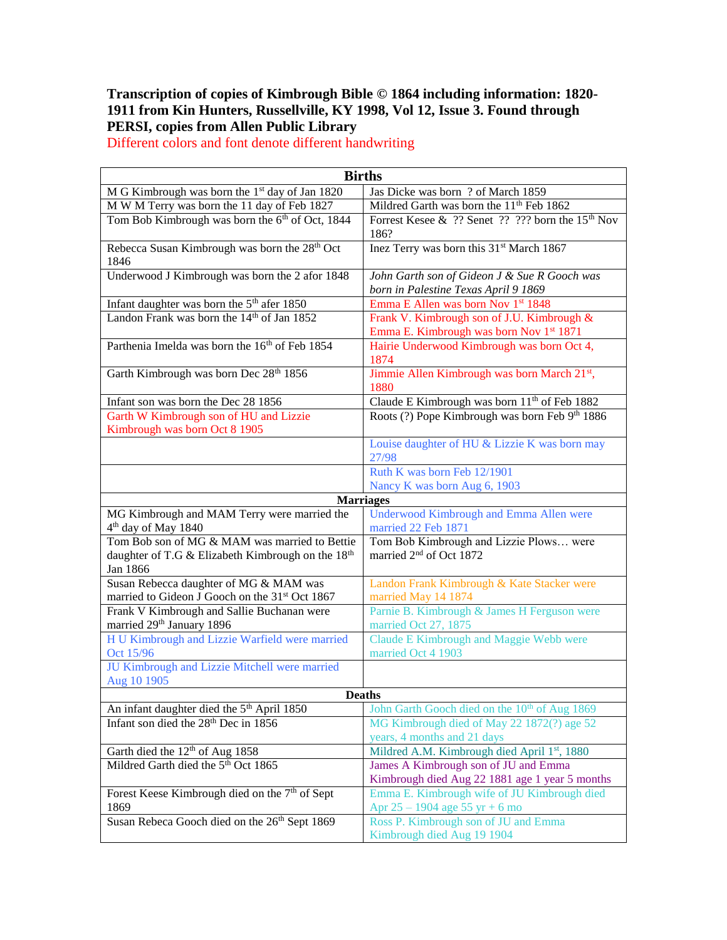## **Transcription of copies of Kimbrough Bible © 1864 including information: 1820- 1911 from Kin Hunters, Russellville, KY 1998, Vol 12, Issue 3. Found through PERSI, copies from Allen Public Library**

**Births** M G Kimbrough was born the 1<sup>st</sup> day of Jan 1820  $\vert$  Jas Dicke was born ? of March 1859 M W M Terry was born the 11 day of Feb 1827 Mildred Garth was born the  $11<sup>th</sup>$  Feb 1862 Tom Bob Kimbrough was born the  $6<sup>th</sup>$  of Oct, 1844 Forrest Kesee & ?? Senet ?? ??? born the 15<sup>th</sup> Nov 186? Rebecca Susan Kimbrough was born the 28<sup>th</sup> Oct 1846 Inez Terry was born this 31<sup>st</sup> March 1867 Underwood J Kimbrough was born the 2 afor 1848 *John Garth son of Gideon J & Sue R Gooch was born in Palestine Texas April 9 1869* Infant daughter was born the  $5<sup>th</sup>$  afer 1850 Emma E Allen was born Nov 1<sup>st</sup> 1848 Landon Frank was born the 14<sup>th</sup> of Jan 1852 Frank V. Kimbrough son of J.U. Kimbrough & Emma E. Kimbrough was born Nov 1st 1871 Parthenia Imelda was born the 16<sup>th</sup> of Feb 1854 Hairie Underwood Kimbrough was born Oct 4, 1874 Garth Kimbrough was born Dec  $28<sup>th</sup> 1856$  Jimmie Allen Kimbrough was born March  $21<sup>st</sup>$ , 1880 Infant son was born the Dec 28 1856 Claude E Kimbrough was born 11<sup>th</sup> of Feb 1882 Garth W Kimbrough son of HU and Lizzie Kimbrough was born Oct 8 1905 Roots (?) Pope Kimbrough was born Feb 9th 1886 Louise daughter of HU & Lizzie K was born may 27/98 Ruth K was born Feb 12/1901 Nancy K was born Aug 6, 1903 **Marriages** MG Kimbrough and MAM Terry were married the 4 th day of May 1840 Underwood Kimbrough and Emma Allen were married 22 Feb 1871 Tom Bob son of MG & MAM was married to Bettie daughter of T.G & Elizabeth Kimbrough on the 18<sup>th</sup> Jan 1866 Tom Bob Kimbrough and Lizzie Plows… were married 2<sup>nd</sup> of Oct 1872 Susan Rebecca daughter of MG & MAM was married to Gideon J Gooch on the 31<sup>st</sup> Oct 1867 Landon Frank Kimbrough & Kate Stacker were married May 14 1874 Frank V Kimbrough and Sallie Buchanan were married 29<sup>th</sup> January 1896 Parnie B. Kimbrough & James H Ferguson were married Oct 27, 1875 H U Kimbrough and Lizzie Warfield were married Oct 15/96 Claude E Kimbrough and Maggie Webb were married Oct 4 1903 JU Kimbrough and Lizzie Mitchell were married Aug 10 1905 **Deaths** An infant daughter died the 5<sup>th</sup> April 1850 John Garth Gooch died on the 10<sup>th</sup> of Aug 1869 Infant son died the 28<sup>th</sup> Dec in 1856 MG Kimbrough died of May 22 1872(?) age 52 years, 4 months and 21 days Garth died the 12<sup>th</sup> of Aug 1858 Mildred A.M. Kimbrough died April 1<sup>st</sup>, 1880<br>Mildred Garth died the 5<sup>th</sup> Oct 1865 James A Kimbrough son of JU and Emma James A Kimbrough son of JU and Emma Kimbrough died Aug 22 1881 age 1 year 5 months Forest Keese Kimbrough died on the  $7<sup>th</sup>$  of Sept 1869 Emma E. Kimbrough wife of JU Kimbrough died Apr 25 – 1904 age 55 yr + 6 mo Susan Rebeca Gooch died on the 26<sup>th</sup> Sept 1869 Ross P. Kimbrough son of JU and Emma Kimbrough died Aug 19 1904

Different colors and font denote different handwriting